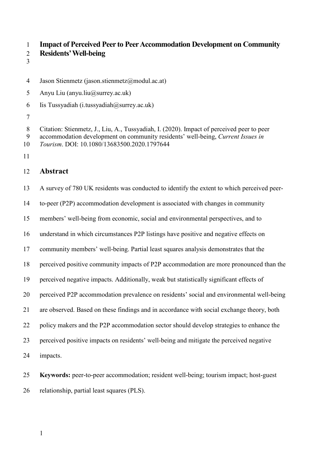**Impact of Perceived Peer to Peer Accommodation Development on Community** 

- **Residents' Well-being**
- 
- Jason Stienmetz (jason.stienmetz@modul.ac.at)
- Anyu Liu (anyu.liu@surrey.ac.uk)
- 6 Iis Tussyadiah (i.tussyadiah $(\partial)$ surrey.ac.uk)
- 

 Citation: Stienmetz, J., Liu, A., Tussyadiah, I. (2020). Impact of perceived peer to peer accommodation development on community residents' well-being, *Current Issues in Tourism*. DOI: 10.1080/13683500.2020.1797644

# **Abstract**

 A survey of 780 UK residents was conducted to identify the extent to which perceived peer- to-peer (P2P) accommodation development is associated with changes in community members' well-being from economic, social and environmental perspectives, and to understand in which circumstances P2P listings have positive and negative effects on community members' well-being. Partial least squares analysis demonstrates that the perceived positive community impacts of P2P accommodation are more pronounced than the perceived negative impacts. Additionally, weak but statistically significant effects of perceived P2P accommodation prevalence on residents' social and environmental well-being are observed. Based on these findings and in accordance with social exchange theory, both policy makers and the P2P accommodation sector should develop strategies to enhance the perceived positive impacts on residents' well-being and mitigate the perceived negative impacts.

 **Keywords:** peer-to-peer accommodation; resident well-being; tourism impact; host-guest relationship, partial least squares (PLS).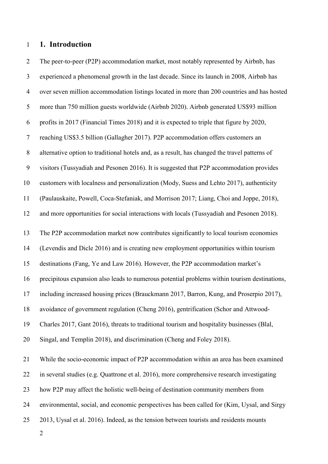#### **1. Introduction**

 The peer-to-peer (P2P) accommodation market, most notably represented by Airbnb, has experienced a phenomenal growth in the last decade. Since its launch in 2008, Airbnb has over seven million accommodation listings located in more than 200 countries and has hosted more than 750 million guests worldwide (Airbnb 2020). Airbnb generated US\$93 million profits in 2017 (Financial Times 2018) and it is expected to triple that figure by 2020, reaching US\$3.5 billion (Gallagher 2017). P2P accommodation offers customers an alternative option to traditional hotels and, as a result, has changed the travel patterns of visitors (Tussyadiah and Pesonen 2016). It is suggested that P2P accommodation provides customers with localness and personalization (Mody, Suess and Lehto 2017), authenticity (Paulauskaite, Powell, Coca-Stefaniak, and Morrison 2017; Liang, Choi and Joppe, 2018), and more opportunities for social interactions with locals (Tussyadiah and Pesonen 2018). The P2P accommodation market now contributes significantly to local tourism economies (Levendis and Dicle 2016) and is creating new employment opportunities within tourism destinations (Fang, Ye and Law 2016). However, the P2P accommodation market's precipitous expansion also leads to numerous potential problems within tourism destinations, including increased housing prices (Brauckmann 2017, Barron, Kung, and Proserpio 2017), avoidance of government regulation (Cheng 2016), gentrification (Schor and Attwood- Charles 2017, Gant 2016), threats to traditional tourism and hospitality businesses (Blal, Singal, and Templin 2018), and discrimination (Cheng and Foley 2018). While the socio-economic impact of P2P accommodation within an area has been examined in several studies (e.g. Quattrone et al. 2016), more comprehensive research investigating how P2P may affect the holistic well-being of destination community members from environmental, social, and economic perspectives has been called for (Kim, Uysal, and Sirgy 2013, Uysal et al. 2016). Indeed, as the tension between tourists and residents mounts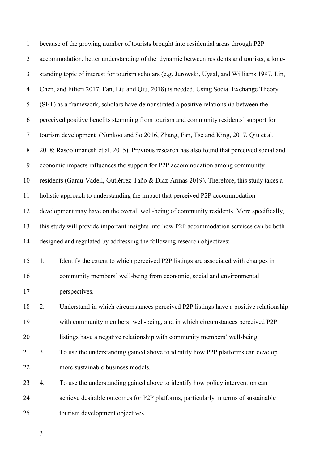| $\mathbf{1}$   |    | because of the growing number of tourists brought into residential areas through P2P           |
|----------------|----|------------------------------------------------------------------------------------------------|
| $\overline{2}$ |    | accommodation, better understanding of the dynamic between residents and tourists, a long-     |
| 3              |    | standing topic of interest for tourism scholars (e.g. Jurowski, Uysal, and Williams 1997, Lin, |
| $\overline{4}$ |    | Chen, and Filieri 2017, Fan, Liu and Qiu, 2018) is needed. Using Social Exchange Theory        |
| 5              |    | (SET) as a framework, scholars have demonstrated a positive relationship between the           |
| 6              |    | perceived positive benefits stemming from tourism and community residents' support for         |
| $\tau$         |    | tourism development (Nunkoo and So 2016, Zhang, Fan, Tse and King, 2017, Qiu et al.            |
| $8\,$          |    | 2018; Rasoolimanesh et al. 2015). Previous research has also found that perceived social and   |
| 9              |    | economic impacts influences the support for P2P accommodation among community                  |
| 10             |    | residents (Garau-Vadell, Gutiérrez-Taño & Díaz-Armas 2019). Therefore, this study takes a      |
| 11             |    | holistic approach to understanding the impact that perceived P2P accommodation                 |
| 12             |    | development may have on the overall well-being of community residents. More specifically,      |
| 13             |    | this study will provide important insights into how P2P accommodation services can be both     |
| 14             |    | designed and regulated by addressing the following research objectives:                        |
| 15             | 1. | Identify the extent to which perceived P2P listings are associated with changes in             |
| 16             |    | community members' well-being from economic, social and environmental                          |
| 17             |    | perspectives.                                                                                  |
| 18             | 2. | Understand in which circumstances perceived P2P listings have a positive relationship          |
| 19             |    | with community members' well-being, and in which circumstances perceived P2P                   |
| 20             |    | listings have a negative relationship with community members' well-being.                      |
| 21             | 3. | To use the understanding gained above to identify how P2P platforms can develop                |
| 22             |    | more sustainable business models.                                                              |
| 23             | 4. | To use the understanding gained above to identify how policy intervention can                  |
| 24             |    | achieve desirable outcomes for P2P platforms, particularly in terms of sustainable             |
| 25             |    | tourism development objectives.                                                                |
|                |    |                                                                                                |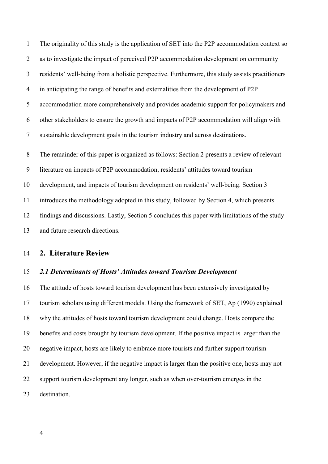The originality of this study is the application of SET into the P2P accommodation context so as to investigate the impact of perceived P2P accommodation development on community residents' well-being from a holistic perspective. Furthermore, this study assists practitioners in anticipating the range of benefits and externalities from the development of P2P accommodation more comprehensively and provides academic support for policymakers and other stakeholders to ensure the growth and impacts of P2P accommodation will align with sustainable development goals in the tourism industry and across destinations. The remainder of this paper is organized as follows: Section 2 presents a review of relevant literature on impacts of P2P accommodation, residents' attitudes toward tourism development, and impacts of tourism development on residents' well-being. Section 3 introduces the methodology adopted in this study, followed by Section 4, which presents findings and discussions. Lastly, Section 5 concludes this paper with limitations of the study

and future research directions.

# **2. Literature Review**

#### *2.1 Determinants of Hosts' Attitudes toward Tourism Development*

 The attitude of hosts toward tourism development has been extensively investigated by tourism scholars using different models. Using the framework of SET, Ap (1990) explained why the attitudes of hosts toward tourism development could change. Hosts compare the benefits and costs brought by tourism development. If the positive impact is larger than the negative impact, hosts are likely to embrace more tourists and further support tourism development. However, if the negative impact is larger than the positive one, hosts may not support tourism development any longer, such as when over-tourism emerges in the destination.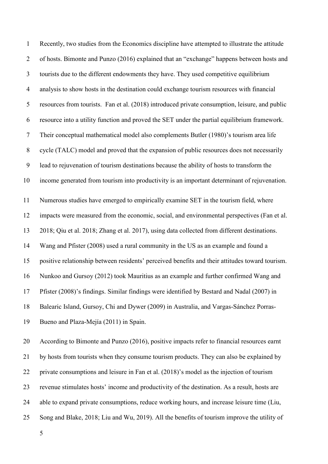Recently, two studies from the Economics discipline have attempted to illustrate the attitude of hosts. Bimonte and Punzo (2016) explained that an "exchange" happens between hosts and tourists due to the different endowments they have. They used competitive equilibrium analysis to show hosts in the destination could exchange tourism resources with financial resources from tourists. Fan et al. (2018) introduced private consumption, leisure, and public resource into a utility function and proved the SET under the partial equilibrium framework. Their conceptual mathematical model also complements Butler (1980)'s tourism area life cycle (TALC) model and proved that the expansion of public resources does not necessarily lead to rejuvenation of tourism destinations because the ability of hosts to transform the income generated from tourism into productivity is an important determinant of rejuvenation. Numerous studies have emerged to empirically examine SET in the tourism field, where impacts were measured from the economic, social, and environmental perspectives (Fan et al. 2018; Qiu et al. 2018; Zhang et al. 2017), using data collected from different destinations. Wang and Pfister (2008) used a rural community in the US as an example and found a positive relationship between residents' perceived benefits and their attitudes toward tourism. Nunkoo and Gursoy (2012) took Mauritius as an example and further confirmed Wang and Pfister (2008)'s findings. Similar findings were identified by Bestard and Nadal (2007) in Balearic Island, Gursoy, Chi and Dywer (2009) in Australia, and Vargas-Sánchez Porras-Bueno and Plaza-Mejía (2011) in Spain.

 According to Bimonte and Punzo (2016), positive impacts refer to financial resources earnt by hosts from tourists when they consume tourism products. They can also be explained by private consumptions and leisure in Fan et al. (2018)'s model as the injection of tourism revenue stimulates hosts' income and productivity of the destination. As a result, hosts are able to expand private consumptions, reduce working hours, and increase leisure time (Liu, Song and Blake, 2018; Liu and Wu, 2019). All the benefits of tourism improve the utility of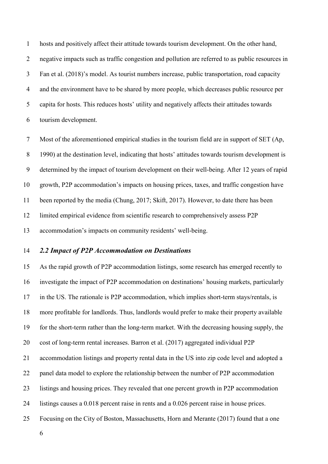hosts and positively affect their attitude towards tourism development. On the other hand, negative impacts such as traffic congestion and pollution are referred to as public resources in Fan et al. (2018)'s model. As tourist numbers increase, public transportation, road capacity and the environment have to be shared by more people, which decreases public resource per capita for hosts. This reduces hosts' utility and negatively affects their attitudes towards tourism development.

 Most of the aforementioned empirical studies in the tourism field are in support of SET (Ap, 1990) at the destination level, indicating that hosts' attitudes towards tourism development is determined by the impact of tourism development on their well-being. After 12 years of rapid growth, P2P accommodation's impacts on housing prices, taxes, and traffic congestion have been reported by the media (Chung, 2017; Skift, 2017). However, to date there has been limited empirical evidence from scientific research to comprehensively assess P2P accommodation's impacts on community residents' well-being.

#### *2.2 Impact of P2P Accommodation on Destinations*

 As the rapid growth of P2P accommodation listings, some research has emerged recently to investigate the impact of P2P accommodation on destinations' housing markets, particularly in the US. The rationale is P2P accommodation, which implies short-term stays/rentals, is more profitable for landlords. Thus, landlords would prefer to make their property available for the short-term rather than the long-term market. With the decreasing housing supply, the cost of long-term rental increases. Barron et al. (2017) aggregated individual P2P accommodation listings and property rental data in the US into zip code level and adopted a panel data model to explore the relationship between the number of P2P accommodation listings and housing prices. They revealed that one percent growth in P2P accommodation listings causes a 0.018 percent raise in rents and a 0.026 percent raise in house prices. Focusing on the City of Boston, Massachusetts, Horn and Merante (2017) found that a one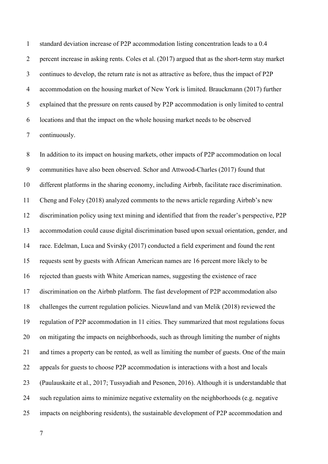standard deviation increase of P2P accommodation listing concentration leads to a 0.4 percent increase in asking rents. Coles et al. (2017) argued that as the short-term stay market continues to develop, the return rate is not as attractive as before, thus the impact of P2P accommodation on the housing market of New York is limited. Brauckmann (2017) further explained that the pressure on rents caused by P2P accommodation is only limited to central locations and that the impact on the whole housing market needs to be observed continuously.

 In addition to its impact on housing markets, other impacts of P2P accommodation on local communities have also been observed. Schor and Attwood-Charles (2017) found that different platforms in the sharing economy, including Airbnb, facilitate race discrimination. Cheng and Foley (2018) analyzed comments to the news article regarding Airbnb's new discrimination policy using text mining and identified that from the reader's perspective, P2P accommodation could cause digital discrimination based upon sexual orientation, gender, and race. Edelman, Luca and Svirsky (2017) conducted a field experiment and found the rent requests sent by guests with African American names are 16 percent more likely to be rejected than guests with White American names, suggesting the existence of race discrimination on the Airbnb platform. The fast development of P2P accommodation also challenges the current regulation policies. Nieuwland and van Melik (2018) reviewed the regulation of P2P accommodation in 11 cities. They summarized that most regulations focus on mitigating the impacts on neighborhoods, such as through limiting the number of nights and times a property can be rented, as well as limiting the number of guests. One of the main appeals for guests to choose P2P accommodation is interactions with a host and locals (Paulauskaite et al., 2017; Tussyadiah and Pesonen, 2016). Although it is understandable that such regulation aims to minimize negative externality on the neighborhoods (e.g. negative impacts on neighboring residents), the sustainable development of P2P accommodation and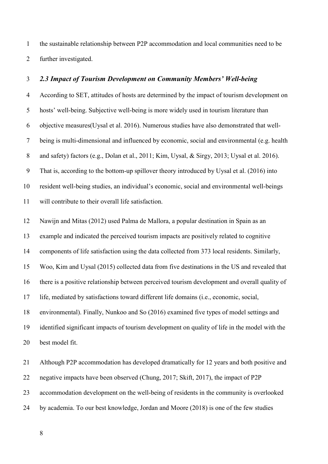the sustainable relationship between P2P accommodation and local communities need to be further investigated.

#### *2.3 Impact of Tourism Development on Community Members' Well-being*

 According to SET, attitudes of hosts are determined by the impact of tourism development on hosts' well-being. Subjective well-being is more widely used in tourism literature than objective measures(Uysal et al. 2016). Numerous studies have also demonstrated that well- being is multi-dimensional and influenced by economic, social and environmental (e.g. health and safety) factors (e.g., Dolan et al., 2011; Kim, Uysal, & Sirgy, 2013; Uysal et al. 2016). That is, according to the bottom-up spillover theory introduced by Uysal et al. (2016) into resident well-being studies, an individual's economic, social and environmental well-beings will contribute to their overall life satisfaction.

Nawijn and Mitas (2012) used Palma de Mallora, a popular destination in Spain as an

example and indicated the perceived tourism impacts are positively related to cognitive

components of life satisfaction using the data collected from 373 local residents. Similarly,

Woo, Kim and Uysal (2015) collected data from five destinations in the US and revealed that

there is a positive relationship between perceived tourism development and overall quality of

life, mediated by satisfactions toward different life domains (i.e., economic, social,

environmental). Finally, Nunkoo and So (2016) examined five types of model settings and

 identified significant impacts of tourism development on quality of life in the model with the best model fit.

 Although P2P accommodation has developed dramatically for 12 years and both positive and negative impacts have been observed (Chung, 2017; Skift, 2017), the impact of P2P accommodation development on the well-being of residents in the community is overlooked by academia. To our best knowledge, Jordan and Moore (2018) is one of the few studies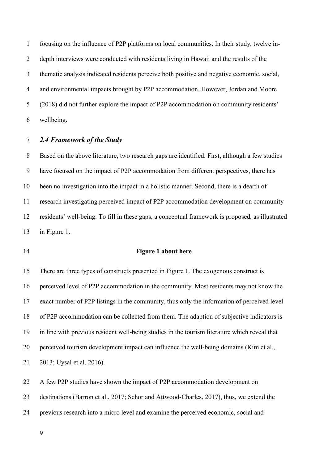focusing on the influence of P2P platforms on local communities. In their study, twelve in- depth interviews were conducted with residents living in Hawaii and the results of the thematic analysis indicated residents perceive both positive and negative economic, social, and environmental impacts brought by P2P accommodation. However, Jordan and Moore (2018) did not further explore the impact of P2P accommodation on community residents' wellbeing.

#### *2.4 Framework of the Study*

 Based on the above literature, two research gaps are identified. First, although a few studies have focused on the impact of P2P accommodation from different perspectives, there has been no investigation into the impact in a holistic manner. Second, there is a dearth of research investigating perceived impact of P2P accommodation development on community residents' well-being. To fill in these gaps, a conceptual framework is proposed, as illustrated in Figure 1.

#### **Figure 1 about here**

 There are three types of constructs presented in Figure 1. The exogenous construct is perceived level of P2P accommodation in the community. Most residents may not know the exact number of P2P listings in the community, thus only the information of perceived level of P2P accommodation can be collected from them. The adaption of subjective indicators is in line with previous resident well-being studies in the tourism literature which reveal that perceived tourism development impact can influence the well-being domains (Kim et al., 2013; Uysal et al. 2016).

 A few P2P studies have shown the impact of P2P accommodation development on destinations (Barron et al., 2017; Schor and Attwood-Charles, 2017), thus, we extend the previous research into a micro level and examine the perceived economic, social and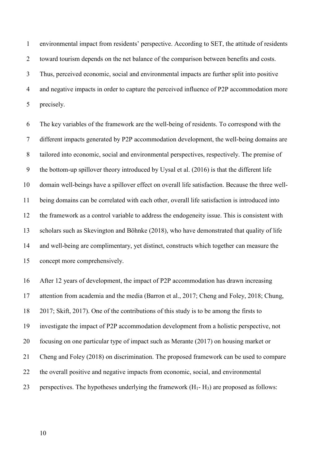environmental impact from residents' perspective. According to SET, the attitude of residents toward tourism depends on the net balance of the comparison between benefits and costs. Thus, perceived economic, social and environmental impacts are further split into positive 4 and negative impacts in order to capture the perceived influence of P2P accommodation more precisely.

 The key variables of the framework are the well-being of residents. To correspond with the different impacts generated by P2P accommodation development, the well-being domains are tailored into economic, social and environmental perspectives, respectively. The premise of the bottom-up spillover theory introduced by Uysal et al. (2016) is that the different life domain well-beings have a spillover effect on overall life satisfaction. Because the three well- being domains can be correlated with each other, overall life satisfaction is introduced into the framework as a control variable to address the endogeneity issue. This is consistent with scholars such as Skevington and Böhnke (2018), who have demonstrated that quality of life and well-being are complimentary, yet distinct, constructs which together can measure the concept more comprehensively.

 After 12 years of development, the impact of P2P accommodation has drawn increasing attention from academia and the media (Barron et al., 2017; Cheng and Foley, 2018; Chung, 2017; Skift, 2017). One of the contributions of this study is to be among the firsts to investigate the impact of P2P accommodation development from a holistic perspective, not focusing on one particular type of impact such as Merante (2017) on housing market or Cheng and Foley (2018) on discrimination. The proposed framework can be used to compare the overall positive and negative impacts from economic, social, and environmental 23 perspectives. The hypotheses underlying the framework  $(H_1 - H_3)$  are proposed as follows: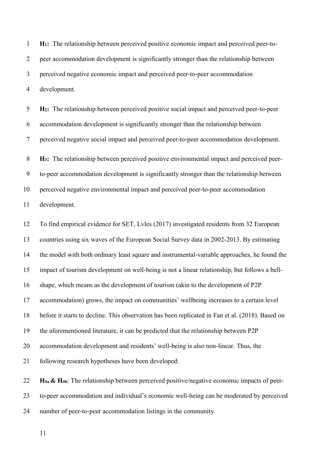**H1:** The relationship between perceived positive economic impact and perceived peer-to- peer accommodation development is significantly stronger than the relationship between perceived negative economic impact and perceived peer-to-peer accommodation development.

 **H2:** The relationship between perceived positive social impact and perceived peer-to-peer accommodation development is significantly stronger than the relationship between perceived negative social impact and perceived peer-to-peer accommodation development. **H3:** The relationship between perceived positive environmental impact and perceived peer- to-peer accommodation development is significantly stronger than the relationship between perceived negative environmental impact and perceived peer-to-peer accommodation development.

 To find empirical evidence for SET, Lvles (2017) investigated residents from 32 European countries using six waves of the European Social Survey data in 2002-2013. By estimating the model with both ordinary least square and instrumental-variable approaches, he found the impact of tourism development on well-being is not a linear relationship, but follows a bell- shape, which means as the development of tourism (akin to the development of P2P accommodation) grows, the impact on communities' wellbeing increases to a certain level before it starts to decline. This observation has been replicated in Fan et al. (2018). Based on the aforementioned literature, it can be predicted that the relationship between P2P accommodation development and residents' well-being is also non-linear. Thus, the following research hypotheses have been developed:

 **H4a & H4b**: The relationship between perceived positive/negative economic impacts of peer- to-peer accommodation and individual's economic well-being can be moderated by perceived number of peer-to-peer accommodation listings in the community.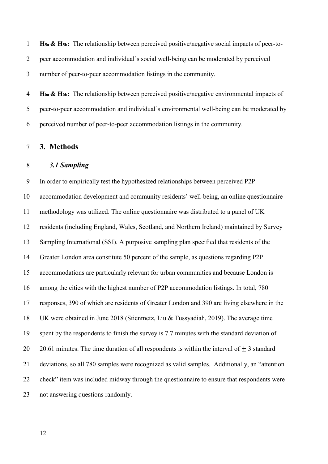**H5a & H5b:** The relationship between perceived positive/negative social impacts of peer-to- peer accommodation and individual's social well-being can be moderated by perceived number of peer-to-peer accommodation listings in the community.

 **H6a & H6b:** The relationship between perceived positive/negative environmental impacts of peer-to-peer accommodation and individual's environmental well-being can be moderated by perceived number of peer-to-peer accommodation listings in the community.

#### **3. Methods**

#### *3.1 Sampling*

 In order to empirically test the hypothesized relationships between perceived P2P accommodation development and community residents' well-being, an online questionnaire methodology was utilized. The online questionnaire was distributed to a panel of UK residents (including England, Wales, Scotland, and Northern Ireland) maintained by Survey Sampling International (SSI). A purposive sampling plan specified that residents of the Greater London area constitute 50 percent of the sample, as questions regarding P2P accommodations are particularly relevant for urban communities and because London is among the cities with the highest number of P2P accommodation listings. In total, 780 responses, 390 of which are residents of Greater London and 390 are living elsewhere in the UK were obtained in June 2018 (Stienmetz, Liu & Tussyadiah, 2019). The average time spent by the respondents to finish the survey is 7.7 minutes with the standard deviation of 20 20.61 minutes. The time duration of all respondents is within the interval of  $\pm$  3 standard deviations, so all 780 samples were recognized as valid samples. Additionally, an "attention check" item was included midway through the questionnaire to ensure that respondents were not answering questions randomly.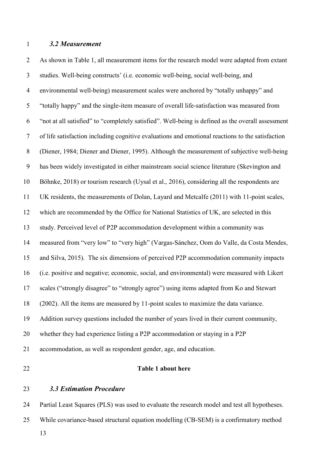#### *3.2 Measurement*

 As shown in Table 1, all measurement items for the research model were adapted from extant studies. Well-being constructs' (i.e. economic well-being, social well-being, and environmental well-being) measurement scales were anchored by "totally unhappy" and "totally happy" and the single-item measure of overall life-satisfaction was measured from "not at all satisfied" to "completely satisfied". Well-being is defined as the overall assessment of life satisfaction including cognitive evaluations and emotional reactions to the satisfaction (Diener, 1984; Diener and Diener, 1995). Although the measurement of subjective well-being has been widely investigated in either mainstream social science literature (Skevington and Böhnke, 2018) or tourism research (Uysal et al., 2016), considering all the respondents are UK residents, the measurements of Dolan, Layard and Metcalfe (2011) with 11-point scales, which are recommended by the Office for National Statistics of UK, are selected in this study. Perceived level of P2P accommodation development within a community was measured from "very low" to "very high" (Vargas-Sánchez, Oom do Valle, da Costa Mendes, and Silva, 2015). The six dimensions of perceived P2P accommodation community impacts (i.e. positive and negative; economic, social, and environmental) were measured with Likert scales ("strongly disagree" to "strongly agree") using items adapted from Ko and Stewart (2002). All the items are measured by 11-point scales to maximize the data variance. Addition survey questions included the number of years lived in their current community, whether they had experience listing a P2P accommodation or staying in a P2P accommodation, as well as respondent gender, age, and education. **Table 1 about here**

# *3.3 Estimation Procedure*

 Partial Least Squares (PLS) was used to evaluate the research model and test all hypotheses. While covariance-based structural equation modelling (CB-SEM) is a confirmatory method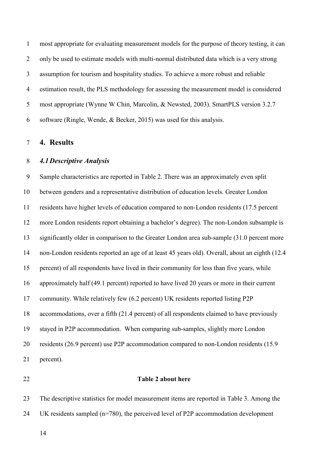most appropriate for evaluating measurement models for the purpose of theory testing, it can only be used to estimate models with multi-normal distributed data which is a very strong assumption for tourism and hospitality studies. To achieve a more robust and reliable estimation result, the PLS methodology for assessing the measurement model is considered most appropriate (Wynne W Chin, Marcolin, & Newsted, 2003). SmartPLS version 3.2.7 software (Ringle, Wende, & Becker, 2015) was used for this analysis.

**4. Results**

#### *4.1Descriptive Analysis*

 Sample characteristics are reported in Table 2. There was an approximately even split between genders and a representative distribution of education levels. Greater London residents have higher levels of education compared to non-London residents (17.5 percent more London residents report obtaining a bachelor's degree). The non-London subsample is significantly older in comparison to the Greater London area sub-sample (31.0 percent more non-London residents reported an age of at least 45 years old). Overall, about an eighth (12.4 percent) of all respondents have lived in their community for less than five years, while approximately half (49.1 percent) reported to have lived 20 years or more in their current community. While relatively few (6.2 percent) UK residents reported listing P2P accommodations, over a fifth (21.4 percent) of all respondents claimed to have previously stayed in P2P accommodation. When comparing sub-samples, slightly more London residents (26.9 percent) use P2P accommodation compared to non-London residents (15.9 percent).

#### **Table 2 about here**

 The descriptive statistics for model measurement items are reported in Table 3. Among the UK residents sampled (n=780), the perceived level of P2P accommodation development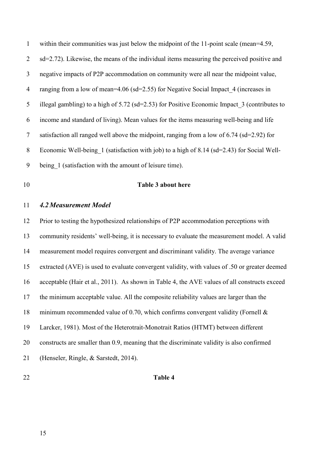within their communities was just below the midpoint of the 11-point scale (mean=4.59, sd=2.72). Likewise, the means of the individual items measuring the perceived positive and negative impacts of P2P accommodation on community were all near the midpoint value, 4 ranging from a low of mean=4.06 (sd=2.55) for Negative Social Impact 4 (increases in 5 illegal gambling) to a high of 5.72 (sd=2.53) for Positive Economic Impact 3 (contributes to income and standard of living). Mean values for the items measuring well-being and life satisfaction all ranged well above the midpoint, ranging from a low of 6.74 (sd=2.92) for Economic Well-being\_1 (satisfaction with job) to a high of 8.14 (sd=2.43) for Social Well-being\_1 (satisfaction with the amount of leisure time).

### **Table 3 about here**

#### *4.2Measurement Model*

 Prior to testing the hypothesized relationships of P2P accommodation perceptions with community residents' well-being, it is necessary to evaluate the measurement model. A valid measurement model requires convergent and discriminant validity. The average variance extracted (AVE) is used to evaluate convergent validity, with values of .50 or greater deemed acceptable (Hair et al., 2011). As shown in Table 4, the AVE values of all constructs exceed the minimum acceptable value. All the composite reliability values are larger than the minimum recommended value of 0.70, which confirms convergent validity (Fornell & Larcker, 1981). Most of the Heterotrait-Monotrait Ratios (HTMT) between different constructs are smaller than 0.9, meaning that the discriminate validity is also confirmed (Henseler, Ringle, & Sarstedt, 2014).

#### **Table 4**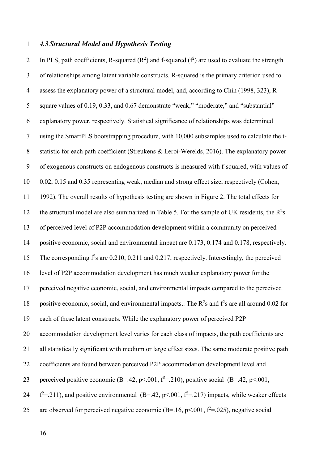#### *4.3 Structural Model and Hypothesis Testing*

2 In PLS, path coefficients, R-squared  $(R^2)$  and f-squared  $(f^2)$  are used to evaluate the strength of relationships among latent variable constructs. R-squared is the primary criterion used to assess the explanatory power of a structural model, and, according to Chin (1998, 323), R- square values of 0.19, 0.33, and 0.67 demonstrate "weak," "moderate," and "substantial" explanatory power, respectively. Statistical significance of relationships was determined using the SmartPLS bootstrapping procedure, with 10,000 subsamples used to calculate the t- statistic for each path coefficient (Streukens & Leroi-Werelds, 2016). The explanatory power of exogenous constructs on endogenous constructs is measured with f-squared, with values of 0.02, 0.15 and 0.35 representing weak, median and strong effect size, respectively (Cohen, 1992). The overall results of hypothesis testing are shown in Figure 2. The total effects for 12 the structural model are also summarized in Table 5. For the sample of UK residents, the  $R^2$ s of perceived level of P2P accommodation development within a community on perceived positive economic, social and environmental impact are 0.173, 0.174 and 0.178, respectively. 15 The corresponding  $f^2$ s are 0.210, 0.211 and 0.217, respectively. Interestingly, the perceived level of P2P accommodation development has much weaker explanatory power for the perceived negative economic, social, and environmental impacts compared to the perceived 18 positive economic, social, and environmental impacts.. The  $R^2$ s and  $f^2$ s are all around 0.02 for each of these latent constructs. While the explanatory power of perceived P2P accommodation development level varies for each class of impacts, the path coefficients are all statistically significant with medium or large effect sizes. The same moderate positive path coefficients are found between perceived P2P accommodation development level and 23 perceived positive economic (B=.42, p <. 001,  $f^2$ =.210), positive social (B=.42, p <. 001,  $f^2$ =.211), and positive environmental (B=.42, p<.001,  $f^2$ =.217) impacts, while weaker effects 25 are observed for perceived negative economic (B=.16, p < 0.01,  $f^2$ =.025), negative social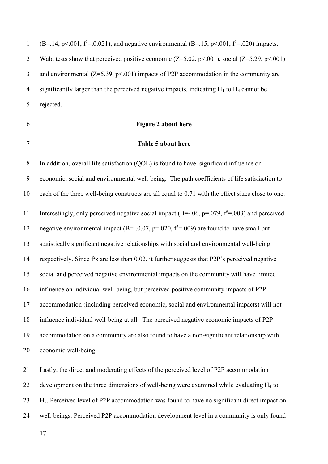1 (B=.14, p<.001,  $f^2$ =.0.021), and negative environmental (B=.15, p<.001,  $f^2$ =.020) impacts. 2 Wald tests show that perceived positive economic  $(Z=5.02, p<0.01)$ , social  $(Z=5.29, p<0.01)$ 3 and environmental  $(Z=5.39, p<.001)$  impacts of P2P accommodation in the community are 4 significantly larger than the perceived negative impacts, indicating  $H_1$  to  $H_3$  cannot be rejected.

# **Figure 2 about here**

## **Table 5 about here**

 In addition, overall life satisfaction (QOL) is found to have significant influence on economic, social and environmental well-being. The path coefficients of life satisfaction to each of the three well-being constructs are all equal to 0.71 with the effect sizes close to one. 11 Interestingly, only perceived negative social impact  $(B=-.06, p=.079, f^2=.003)$  and perceived 12 negative environmental impact (B=-.0.07, p=.020,  $f^2$ =.009) are found to have small but statistically significant negative relationships with social and environmental well-being 14 respectively. Since  $f^2$ s are less than 0.02, it further suggests that P2P's perceived negative social and perceived negative environmental impacts on the community will have limited influence on individual well-being, but perceived positive community impacts of P2P accommodation (including perceived economic, social and environmental impacts) will not influence individual well-being at all. The perceived negative economic impacts of P2P accommodation on a community are also found to have a non-significant relationship with economic well-being.

 Lastly, the direct and moderating effects of the perceived level of P2P accommodation 22 development on the three dimensions of well-being were examined while evaluating  $H_4$  to 23 H<sub>6</sub>. Perceived level of P2P accommodation was found to have no significant direct impact on well-beings. Perceived P2P accommodation development level in a community is only found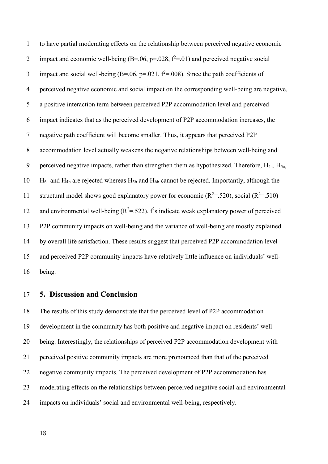to have partial moderating effects on the relationship between perceived negative economic 2 impact and economic well-being  $(B=.06, p=.028, f^2=.01)$  and perceived negative social 3 impact and social well-being (B=.06, p=.021,  $f^2$ =.008). Since the path coefficients of perceived negative economic and social impact on the corresponding well-being are negative, a positive interaction term between perceived P2P accommodation level and perceived impact indicates that as the perceived development of P2P accommodation increases, the negative path coefficient will become smaller. Thus, it appears that perceived P2P accommodation level actually weakens the negative relationships between well-being and 9 perceived negative impacts, rather than strengthen them as hypothesized. Therefore,  $H_{4a}$ ,  $H_{5a}$ ,  $H_{6a}$  and H<sub>4b</sub> are rejected whereas H<sub>5b</sub> and H<sub>6b</sub> cannot be rejected. Importantly, although the 11 structural model shows good explanatory power for economic  $(R^2 = .520)$ , social  $(R^2 = .510)$ 12 and environmental well-being  $(R^2 = .522)$ ,  $f^2$ s indicate weak explanatory power of perceived P2P community impacts on well-being and the variance of well-being are mostly explained by overall life satisfaction. These results suggest that perceived P2P accommodation level and perceived P2P community impacts have relatively little influence on individuals' well-being.

# **5. Discussion and Conclusion**

 The results of this study demonstrate that the perceived level of P2P accommodation development in the community has both positive and negative impact on residents' well- being. Interestingly, the relationships of perceived P2P accommodation development with perceived positive community impacts are more pronounced than that of the perceived negative community impacts. The perceived development of P2P accommodation has moderating effects on the relationships between perceived negative social and environmental impacts on individuals' social and environmental well-being, respectively.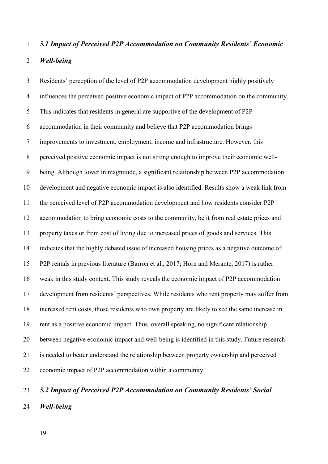# *5.1 Impact of Perceived P2P Accommodation on Community Residents' Economic Well-being*

 Residents' perception of the level of P2P accommodation development highly positively influences the perceived positive economic impact of P2P accommodation on the community. This indicates that residents in general are supportive of the development of P2P accommodation in their community and believe that P2P accommodation brings improvements to investment, employment, income and infrastructure. However, this perceived positive economic impact is not strong enough to improve their economic well- being. Although lower in magnitude, a significant relationship between P2P accommodation development and negative economic impact is also identified. Results show a weak link from the perceived level of P2P accommodation development and how residents consider P2P accommodation to bring economic costs to the community, be it from real estate prices and property taxes or from cost of living due to increased prices of goods and services. This indicates that the highly debated issue of increased housing prices as a negative outcome of P2P rentals in previous literature (Barron et al., 2017; Horn and Merante, 2017) is rather weak in this study context. This study reveals the economic impact of P2P accommodation development from residents' perspectives. While residents who rent property may suffer from increased rent costs, those residents who own property are likely to see the same increase in rent as a positive economic impact. Thus, overall speaking, no significant relationship between negative economic impact and well-being is identified in this study. Future research is needed to better understand the relationship between property ownership and perceived economic impact of P2P accommodation within a community.

# *5.2 Impact of Perceived P2P Accommodation on Community Residents' Social Well-being*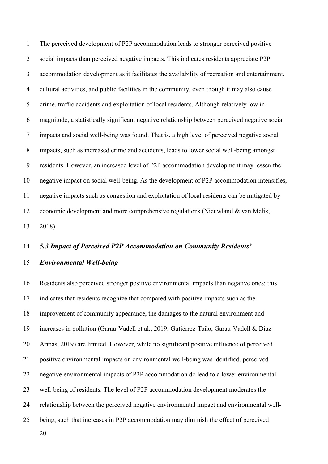The perceived development of P2P accommodation leads to stronger perceived positive social impacts than perceived negative impacts. This indicates residents appreciate P2P accommodation development as it facilitates the availability of recreation and entertainment, cultural activities, and public facilities in the community, even though it may also cause crime, traffic accidents and exploitation of local residents. Although relatively low in magnitude, a statistically significant negative relationship between perceived negative social impacts and social well-being was found. That is, a high level of perceived negative social impacts, such as increased crime and accidents, leads to lower social well-being amongst residents. However, an increased level of P2P accommodation development may lessen the negative impact on social well-being. As the development of P2P accommodation intensifies, negative impacts such as congestion and exploitation of local residents can be mitigated by economic development and more comprehensive regulations (Nieuwland & van Melik, 2018).

#### *5.3 Impact of Perceived P2P Accommodation on Community Residents'*

#### *Environmental Well-being*

 Residents also perceived stronger positive environmental impacts than negative ones; this indicates that residents recognize that compared with positive impacts such as the improvement of community appearance, the damages to the natural environment and increases in pollution (Garau-Vadell et al., 2019; Gutiérrez-Taño, Garau-Vadell & Díaz- Armas, 2019) are limited. However, while no significant positive influence of perceived positive environmental impacts on environmental well-being was identified, perceived negative environmental impacts of P2P accommodation do lead to a lower environmental well-being of residents. The level of P2P accommodation development moderates the relationship between the perceived negative environmental impact and environmental well-being, such that increases in P2P accommodation may diminish the effect of perceived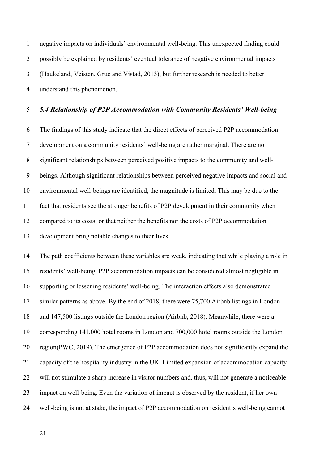negative impacts on individuals' environmental well-being. This unexpected finding could possibly be explained by residents' eventual tolerance of negative environmental impacts (Haukeland, Veisten, Grue and Vistad, 2013), but further research is needed to better understand this phenomenon.

# *5.4 Relationship of P2P Accommodation with Community Residents' Well-being*

 The findings of this study indicate that the direct effects of perceived P2P accommodation development on a community residents' well-being are rather marginal. There are no significant relationships between perceived positive impacts to the community and well- beings. Although significant relationships between perceived negative impacts and social and environmental well-beings are identified, the magnitude is limited. This may be due to the fact that residents see the stronger benefits of P2P development in their community when compared to its costs, or that neither the benefits nor the costs of P2P accommodation development bring notable changes to their lives.

 The path coefficients between these variables are weak, indicating that while playing a role in residents' well-being, P2P accommodation impacts can be considered almost negligible in supporting or lessening residents' well-being. The interaction effects also demonstrated similar patterns as above. By the end of 2018, there were 75,700 Airbnb listings in London and 147,500 listings outside the London region (Airbnb, 2018). Meanwhile, there were a corresponding 141,000 hotel rooms in London and 700,000 hotel rooms outside the London region(PWC, 2019). The emergence of P2P accommodation does not significantly expand the capacity of the hospitality industry in the UK. Limited expansion of accommodation capacity will not stimulate a sharp increase in visitor numbers and, thus, will not generate a noticeable impact on well-being. Even the variation of impact is observed by the resident, if her own well-being is not at stake, the impact of P2P accommodation on resident's well-being cannot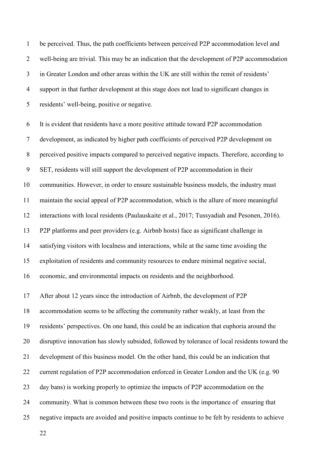be perceived. Thus, the path coefficients between perceived P2P accommodation level and well-being are trivial. This may be an indication that the development of P2P accommodation in Greater London and other areas within the UK are still within the remit of residents' support in that further development at this stage does not lead to significant changes in residents' well-being, positive or negative.

 It is evident that residents have a more positive attitude toward P2P accommodation development, as indicated by higher path coefficients of perceived P2P development on perceived positive impacts compared to perceived negative impacts. Therefore, according to SET, residents will still support the development of P2P accommodation in their communities. However, in order to ensure sustainable business models, the industry must maintain the social appeal of P2P accommodation, which is the allure of more meaningful interactions with local residents (Paulauskaite et al., 2017; Tussyadiah and Pesonen, 2016). P2P platforms and peer providers (e.g. Airbnb hosts) face as significant challenge in satisfying visitors with localness and interactions, while at the same time avoiding the exploitation of residents and community resources to endure minimal negative social, economic, and environmental impacts on residents and the neighborhood. After about 12 years since the introduction of Airbnb, the development of P2P accommodation seems to be affecting the community rather weakly, at least from the residents' perspectives. On one hand, this could be an indication that euphoria around the disruptive innovation has slowly subsided, followed by tolerance of local residents toward the development of this business model. On the other hand, this could be an indication that 22 current regulation of P2P accommodation enforced in Greater London and the UK (e.g. 90)

day bans) is working properly to optimize the impacts of P2P accommodation on the

community. What is common between these two roots is the importance of ensuring that

negative impacts are avoided and positive impacts continue to be felt by residents to achieve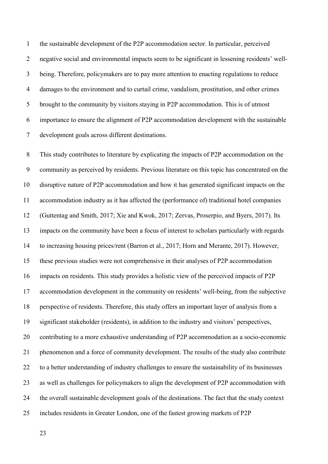the sustainable development of the P2P accommodation sector. In particular, perceived negative social and environmental impacts seem to be significant in lessening residents' well- being. Therefore, policymakers are to pay more attention to enacting regulations to reduce damages to the environment and to curtail crime, vandalism, prostitution, and other crimes brought to the community by visitors staying in P2P accommodation. This is of utmost importance to ensure the alignment of P2P accommodation development with the sustainable development goals across different destinations.

 This study contributes to literature by explicating the impacts of P2P accommodation on the community as perceived by residents. Previous literature on this topic has concentrated on the disruptive nature of P2P accommodation and how it has generated significant impacts on the accommodation industry as it has affected the (performance of) traditional hotel companies (Guttentag and Smith, 2017; Xie and Kwok, 2017; Zervas, Proserpio, and Byers, 2017). Its impacts on the community have been a focus of interest to scholars particularly with regards to increasing housing prices/rent (Barron et al., 2017; Horn and Merante, 2017). However, these previous studies were not comprehensive in their analyses of P2P accommodation impacts on residents. This study provides a holistic view of the perceived impacts of P2P accommodation development in the community on residents' well-being, from the subjective perspective of residents. Therefore, this study offers an important layer of analysis from a significant stakeholder (residents), in addition to the industry and visitors' perspectives, contributing to a more exhaustive understanding of P2P accommodation as a socio-economic phenomenon and a force of community development. The results of the study also contribute to a better understanding of industry challenges to ensure the sustainability of its businesses as well as challenges for policymakers to align the development of P2P accommodation with the overall sustainable development goals of the destinations. The fact that the study context includes residents in Greater London, one of the fastest growing markets of P2P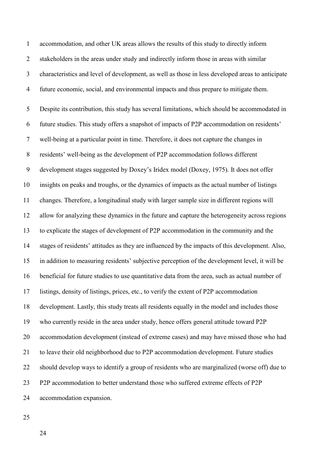accommodation, and other UK areas allows the results of this study to directly inform stakeholders in the areas under study and indirectly inform those in areas with similar characteristics and level of development, as well as those in less developed areas to anticipate future economic, social, and environmental impacts and thus prepare to mitigate them.

 Despite its contribution, this study has several limitations, which should be accommodated in future studies. This study offers a snapshot of impacts of P2P accommodation on residents' well-being at a particular point in time. Therefore, it does not capture the changes in residents' well-being as the development of P2P accommodation follows different development stages suggested by Doxey's Iridex model (Doxey, 1975). It does not offer insights on peaks and troughs, or the dynamics of impacts as the actual number of listings changes. Therefore, a longitudinal study with larger sample size in different regions will allow for analyzing these dynamics in the future and capture the heterogeneity across regions to explicate the stages of development of P2P accommodation in the community and the stages of residents' attitudes as they are influenced by the impacts of this development. Also, in addition to measuring residents' subjective perception of the development level, it will be beneficial for future studies to use quantitative data from the area, such as actual number of listings, density of listings, prices, etc., to verify the extent of P2P accommodation development. Lastly, this study treats all residents equally in the model and includes those who currently reside in the area under study, hence offers general attitude toward P2P accommodation development (instead of extreme cases) and may have missed those who had to leave their old neighborhood due to P2P accommodation development. Future studies should develop ways to identify a group of residents who are marginalized (worse off) due to P2P accommodation to better understand those who suffered extreme effects of P2P accommodation expansion.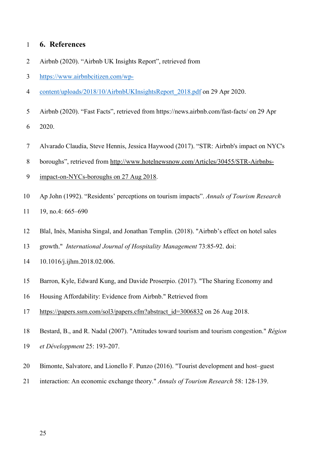# **6. References**

- Airbnb (2020). "Airbnb UK Insights Report", retrieved from
- [https://www.airbnbcitizen.com/wp-](https://www.airbnbcitizen.com/wp-content/uploads/2018/10/AirbnbUKInsightsReport_2018.pdf)
- [content/uploads/2018/10/AirbnbUKInsightsReport\\_2018.pdf](https://www.airbnbcitizen.com/wp-content/uploads/2018/10/AirbnbUKInsightsReport_2018.pdf) on 29 Apr 2020.
- Airbnb (2020). "Fast Facts", retrieved from https://news.airbnb.com/fast-facts/ on 29 Apr

2020.

Alvarado Claudia, Steve Hennis, Jessica Haywood (2017). "STR: Airbnb's impact on NYC's

boroughs", retrieved from [http://www.hotelnewsnow.com/Articles/30455/STR-Airbnbs-](http://www.hotelnewsnow.com/Articles/30455/STR-Airbnbs-impact-on-NYCs-boroughs%20on%2027%20Aug%202018)

- [impact-on-NYCs-boroughs on 27 Aug 2018.](http://www.hotelnewsnow.com/Articles/30455/STR-Airbnbs-impact-on-NYCs-boroughs%20on%2027%20Aug%202018)
- Ap John (1992). "Residents' perceptions on tourism impacts". *Annals of Tourism Research* 11 19, no.4: 665–690
- Blal, Inès, Manisha Singal, and Jonathan Templin. (2018). "Airbnb's effect on hotel sales
- growth." *International Journal of Hospitality Management* 73:85-92. doi:
- 10.1016/j.ijhm.2018.02.006.
- Barron, Kyle, Edward Kung, and Davide Proserpio. (2017). "The Sharing Economy and
- Housing Affordability: Evidence from Airbnb." Retrieved from
- [https://papers.ssrn.com/sol3/papers.cfm?abstract\\_id=3006832](https://papers.ssrn.com/sol3/papers.cfm?abstract_id=3006832) on 26 Aug 2018.
- Bestard, B., and R. Nadal (2007). "Attitudes toward tourism and tourism congestion." *Région*
- *et Développment* 25: 193-207.
- Bimonte, Salvatore, and Lionello F. Punzo (2016). "Tourist development and host–guest
- interaction: An economic exchange theory." *Annals of Tourism Research* 58: 128-139.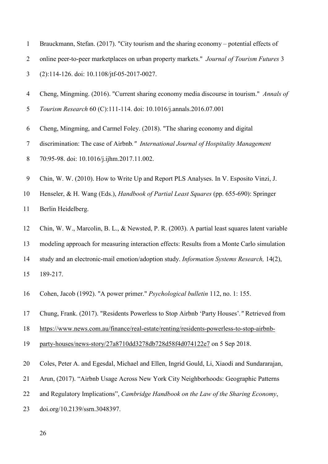|  | Brauckmann, Stefan. (2017). "City tourism and the sharing economy – potential effects of |  |  |  |  |  |  |  |  |  |  |
|--|------------------------------------------------------------------------------------------|--|--|--|--|--|--|--|--|--|--|
|--|------------------------------------------------------------------------------------------|--|--|--|--|--|--|--|--|--|--|

online peer-to-peer marketplaces on urban property markets." *Journal of Tourism Futures* 3

(2):114-126. doi: 10.1108/jtf-05-2017-0027.

- Cheng, Mingming. (2016). "Current sharing economy media discourse in tourism." *Annals of*
- *Tourism Research* 60 (C):111-114. doi: 10.1016/j.annals.2016.07.001
- Cheng, Mingming, and Carmel Foley. (2018). "The sharing economy and digital
- discrimination: The case of Airbnb*." International Journal of Hospitality Management*
- 70:95-98. doi: 10.1016/j.ijhm.2017.11.002.
- Chin, W. W. (2010). How to Write Up and Report PLS Analyses. In V. Esposito Vinzi, J.
- Henseler, & H. Wang (Eds.), *Handbook of Partial Least Squares* (pp. 655-690): Springer

Berlin Heidelberg.

- Chin, W. W., Marcolin, B. L., & Newsted, P. R. (2003). A partial least squares latent variable
- modeling approach for measuring interaction effects: Results from a Monte Carlo simulation
- study and an electronic-mail emotion/adoption study. *Information Systems Research,* 14(2),
- 189-217.
- Cohen, Jacob (1992). "A power primer." *Psychological bulletin* 112, no. 1: 155.
- Chung, Frank. (2017). "Residents Powerless to Stop Airbnb 'Party Houses'*."* Retrieved from
- [https://www.news.com.au/finance/real-estate/renting/residents-powerless-to-stop-airbnb-](https://www.news.com.au/finance/real-estate/renting/residents-powerless-to-stop-airbnb-party-houses/news-story/27a8710dd3278db728d58f4d074122e7)
- [party-houses/news-story/27a8710dd3278db728d58f4d074122e7](https://www.news.com.au/finance/real-estate/renting/residents-powerless-to-stop-airbnb-party-houses/news-story/27a8710dd3278db728d58f4d074122e7) on 5 Sep 2018.
- Coles, Peter A. and Egesdal, Michael and Ellen, Ingrid Gould, Li, Xiaodi and Sundararajan,
- Arun, (2017). "Airbnb Usage Across New York City Neighborhoods: Geographic Patterns
- and Regulatory Implications", *Cambridge Handbook on the Law of the Sharing Economy*,
- doi.org/10.2139/ssrn.3048397.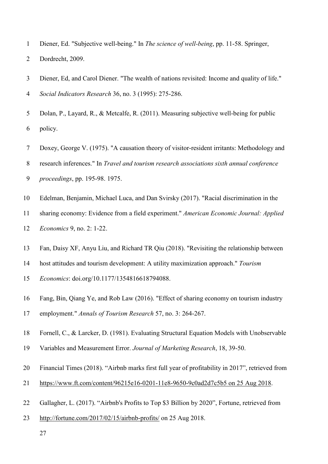- Diener, Ed. "Subjective well-being." In *The science of well-being*, pp. 11-58. Springer,
- Dordrecht, 2009.
- Diener, Ed, and Carol Diener. "The wealth of nations revisited: Income and quality of life." *Social Indicators Research* 36, no. 3 (1995): 275-286.
- Dolan, P., Layard, R., & Metcalfe, R. (2011). Measuring subjective well-being for public policy.
- Doxey, George V. (1975). "A causation theory of visitor-resident irritants: Methodology and
- research inferences." In *Travel and tourism research associations sixth annual conference*
- *proceedings*, pp. 195-98. 1975.
- Edelman, Benjamin, Michael Luca, and Dan Svirsky (2017). "Racial discrimination in the
- sharing economy: Evidence from a field experiment." *American Economic Journal: Applied Economics* 9, no. 2: 1-22.
- Fan, Daisy XF, Anyu Liu, and Richard TR Qiu (2018). "Revisiting the relationship between
- host attitudes and tourism development: A utility maximization approach." *Tourism*
- *Economics*: doi.org/10.1177/1354816618794088.
- Fang, Bin, Qiang Ye, and Rob Law (2016). "Effect of sharing economy on tourism industry employment." *Annals of Tourism Research* 57, no. 3: 264-267.
- Fornell, C., & Larcker, D. (1981). Evaluating Structural Equation Models with Unobservable
- Variables and Measurement Error. *Journal of Marketing Research*, 18, 39-50.
- Financial Times (2018). "Airbnb marks first full year of profitability in 2017", retrieved from
- [https://www.ft.com/content/96215e16-0201-11e8-9650-9c0ad2d7c5b5 on 25 Aug 2018.](https://www.ft.com/content/96215e16-0201-11e8-9650-9c0ad2d7c5b5%20on%2025%20Aug%202018)
- Gallagher, L. (2017). "Airbnb's Profits to Top \$3 Billion by 2020", Fortune, retrieved from
- <http://fortune.com/2017/02/15/airbnb-profits/> on 25 Aug 2018.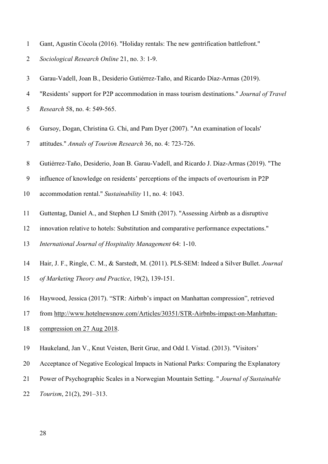- Gant, Agustín Cócola (2016). "Holiday rentals: The new gentrification battlefront."
- *Sociological Research Online* 21, no. 3: 1-9.
- Garau-Vadell, Joan B., Desiderio Gutiérrez-Taño, and Ricardo Díaz-Armas (2019).
- "Residents' support for P2P accommodation in mass tourism destinations." *Journal of Travel*
- *Research* 58, no. 4: 549-565.
- Gursoy, Dogan, Christina G. Chi, and Pam Dyer (2007). "An examination of locals'
- attitudes." *Annals of Tourism Research* 36, no. 4: 723-726.
- Gutiérrez-Taño, Desiderio, Joan B. Garau-Vadell, and Ricardo J. Díaz-Armas (2019). "The
- influence of knowledge on residents' perceptions of the impacts of overtourism in P2P
- accommodation rental." *Sustainability* 11, no. 4: 1043.
- Guttentag, Daniel A., and Stephen LJ Smith (2017). "Assessing Airbnb as a disruptive
- innovation relative to hotels: Substitution and comparative performance expectations."

*International Journal of Hospitality Management* 64: 1-10.

- Hair, J. F., Ringle, C. M., & Sarstedt, M. (2011). PLS-SEM: Indeed a Silver Bullet. *Journal of Marketing Theory and Practice*, 19(2), 139-151.
- Haywood, Jessica (2017). "STR: Airbnb's impact on Manhattan compression", retrieved
- from [http://www.hotelnewsnow.com/Articles/30351/STR-Airbnbs-impact-on-Manhattan-](http://www.hotelnewsnow.com/Articles/30351/STR-Airbnbs-impact-on-Manhattan-compression%20on%2027%20Aug%202018)
- [compression on 27 Aug 2018.](http://www.hotelnewsnow.com/Articles/30351/STR-Airbnbs-impact-on-Manhattan-compression%20on%2027%20Aug%202018)
- Haukeland, Jan V., Knut Veisten, Berit Grue, and Odd I. Vistad. (2013). "Visitors'
- Acceptance of Negative Ecological Impacts in National Parks: Comparing the Explanatory
- Power of Psychographic Scales in a Norwegian Mountain Setting. " *Journal of Sustainable*
- *Tourism*, 21(2), 291–313.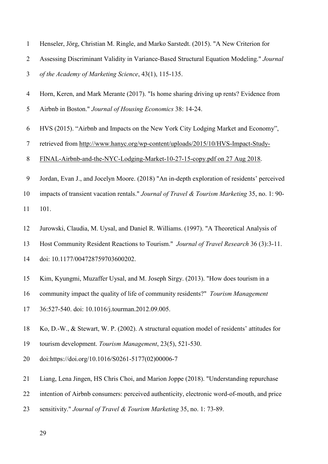| $\mathbf{1}$   | Henseler, Jörg, Christian M. Ringle, and Marko Sarstedt. (2015). "A New Criterion for        |
|----------------|----------------------------------------------------------------------------------------------|
| $\overline{2}$ | Assessing Discriminant Validity in Variance-Based Structural Equation Modeling." Journal     |
| 3              | of the Academy of Marketing Science, 43(1), 115-135.                                         |
| $\overline{4}$ | Horn, Keren, and Mark Merante (2017). "Is home sharing driving up rents? Evidence from       |
| 5              | Airbnb in Boston." Journal of Housing Economics 38: 14-24.                                   |
| 6              | HVS (2015). "Airbnb and Impacts on the New York City Lodging Market and Economy",            |
| $\tau$         | retrieved from http://www.hanyc.org/wp-content/uploads/2015/10/HVS-Impact-Study-             |
| $8\,$          | FINAL-Airbnb-and-the-NYC-Lodging-Market-10-27-15-copy.pdf on 27 Aug 2018.                    |
| 9              | Jordan, Evan J., and Jocelyn Moore. (2018) "An in-depth exploration of residents' perceived  |
| 10             | impacts of transient vacation rentals." Journal of Travel & Tourism Marketing 35, no. 1: 90- |
| 11             | 101.                                                                                         |
| 12             | Jurowski, Claudia, M. Uysal, and Daniel R. Williams. (1997). "A Theoretical Analysis of      |
| 13             | Host Community Resident Reactions to Tourism." Journal of Travel Research 36 (3):3-11.       |
| 14             | doi: 10.1177/004728759703600202.                                                             |
| 15             | Kim, Kyungmi, Muzaffer Uysal, and M. Joseph Sirgy. (2013). "How does tourism in a            |
| 16             | community impact the quality of life of community residents?" Tourism Management             |
| 17             | 36:527-540. doi: 10.1016/j.tourman.2012.09.005.                                              |
| 18             | Ko, D.-W., & Stewart, W. P. (2002). A structural equation model of residents' attitudes for  |
| 19             | tourism development. Tourism Management, 23(5), 521-530.                                     |
| 20             | doi:https://doi.org/10.1016/S0261-5177(02)00006-7                                            |
| 21             | Liang, Lena Jingen, HS Chris Choi, and Marion Joppe (2018). "Understanding repurchase        |
| 22             | intention of Airbnb consumers: perceived authenticity, electronic word-of-mouth, and price   |
| 23             | sensitivity." Journal of Travel & Tourism Marketing 35, no. 1: 73-89.                        |
|                | 29                                                                                           |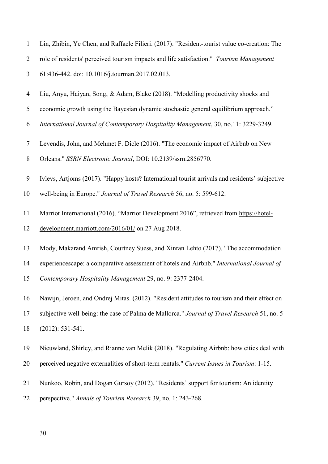| Lin, Zhibin, Ye Chen, and Raffaele Filieri. (2017). "Resident-tourist value co-creation: The   |
|------------------------------------------------------------------------------------------------|
| role of residents' perceived tourism impacts and life satisfaction." <i>Tourism Management</i> |
| 61:436-442. doi: 10.1016/j.tourman.2017.02.013.                                                |

- Liu, Anyu, Haiyan, Song, & Adam, Blake (2018). "Modelling productivity shocks and
- economic growth using the Bayesian dynamic stochastic general equilibrium approach."
- *International Journal of Contemporary Hospitality Management*, 30, no.11: 3229-3249.
- Levendis, John, and Mehmet F. Dicle (2016). "The economic impact of Airbnb on New
- Orleans." *SSRN Electronic Journal*, DOI: 10.2139/ssrn.2856770.
- Ivlevs, Artjoms (2017). "Happy hosts? International tourist arrivals and residents' subjective
- well-being in Europe." *Journal of Travel Research* 56, no. 5: 599-612.
- Marriot International (2016). "Marriot Development 2016", retrieved from [https://hotel-](https://hotel-development.marriott.com/2016/01/)
- [development.marriott.com/2016/01/](https://hotel-development.marriott.com/2016/01/) on 27 Aug 2018.
- Mody, Makarand Amrish, Courtney Suess, and Xinran Lehto (2017). "The accommodation
- experiencescape: a comparative assessment of hotels and Airbnb." *International Journal of*
- *Contemporary Hospitality Management* 29, no. 9: 2377-2404.
- Nawijn, Jeroen, and Ondrej Mitas. (2012). "Resident attitudes to tourism and their effect on subjective well-being: the case of Palma de Mallorca." *Journal of Travel Research* 51, no. 5
- (2012): 531-541.
- Nieuwland, Shirley, and Rianne van Melik (2018). "Regulating Airbnb: how cities deal with
- perceived negative externalities of short-term rentals." *Current Issues in Tourism*: 1-15.
- Nunkoo, Robin, and Dogan Gursoy (2012). "Residents' support for tourism: An identity
- perspective." *Annals of Tourism Research* 39, no. 1: 243-268.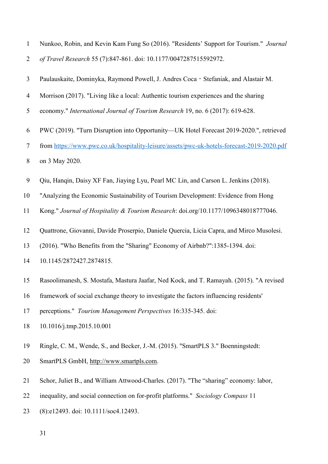| $\mathbf{1}$   | Nunkoo, Robin, and Kevin Kam Fung So (2016). "Residents' Support for Tourism." Journal     |
|----------------|--------------------------------------------------------------------------------------------|
| $\overline{2}$ | of Travel Research 55 (7):847-861. doi: 10.1177/0047287515592972.                          |
| $\mathfrak{Z}$ | Paulauskaite, Dominyka, Raymond Powell, J. Andres Coca - Stefaniak, and Alastair M.        |
| $\overline{4}$ | Morrison (2017). "Living like a local: Authentic tourism experiences and the sharing       |
| 5              | economy." International Journal of Tourism Research 19, no. 6 (2017): 619-628.             |
| 6              | PWC (2019). "Turn Disruption into Opportunity—UK Hotel Forecast 2019-2020.", retrieved     |
| $\tau$         | from https://www.pwc.co.uk/hospitality-leisure/assets/pwc-uk-hotels-forecast-2019-2020.pdf |
| $8\,$          | on 3 May 2020.                                                                             |
| 9              | Qiu, Hanqin, Daisy XF Fan, Jiaying Lyu, Pearl MC Lin, and Carson L. Jenkins (2018).        |
| 10             | "Analyzing the Economic Sustainability of Tourism Development: Evidence from Hong          |
| 11             | Kong." Journal of Hospitality & Tourism Research: doi.org/10.1177/1096348018777046.        |
| 12             | Quattrone, Giovanni, Davide Proserpio, Daniele Quercia, Licia Capra, and Mirco Musolesi.   |
| 13             | (2016). "Who Benefits from the "Sharing" Economy of Airbnb?":1385-1394. doi:               |
| 14             | 10.1145/2872427.2874815.                                                                   |
| 15             | Rasoolimanesh, S. Mostafa, Mastura Jaafar, Ned Kock, and T. Ramayah. (2015). "A revised    |
| 16             | framework of social exchange theory to investigate the factors influencing residents'      |
| 17             | perceptions." Tourism Management Perspectives 16:335-345. doi:                             |
| 18             | 10.1016/j.tmp.2015.10.001                                                                  |
| 19             | Ringle, C. M., Wende, S., and Becker, J.-M. (2015). "SmartPLS 3." Boenningstedt:           |
| 20             | SmartPLS GmbH, http://www.smartpls.com.                                                    |
| 21             | Schor, Juliet B., and William Attwood-Charles. (2017). "The "sharing" economy: labor,      |
| 22             | inequality, and social connection on for-profit platforms." Sociology Compass 11           |

(8):e12493. doi: 10.1111/soc4.12493.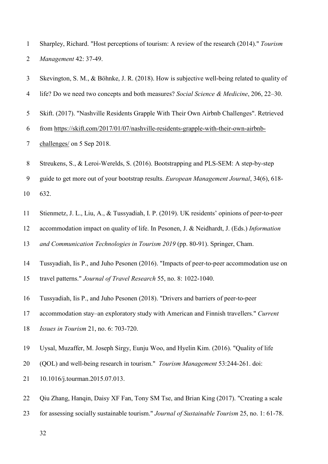Sharpley, Richard. "Host perceptions of tourism: A review of the research (2014)." *Tourism Management* 42: 37-49.

- Skevington, S. M., & Böhnke, J. R. (2018). How is subjective well-being related to quality of
- life? Do we need two concepts and both measures? *Social Science & Medicine*, 206, 22–30.
- Skift. (2017). "Nashville Residents Grapple With Their Own Airbnb Challenges". Retrieved

from [https://skift.com/2017/01/07/nashville-residents-grapple-with-their-own-airbnb-](https://skift.com/2017/01/07/nashville-residents-grapple-with-their-own-airbnb-challenges/)

- [challenges/](https://skift.com/2017/01/07/nashville-residents-grapple-with-their-own-airbnb-challenges/) on 5 Sep 2018.
- Streukens, S., & Leroi-Werelds, S. (2016). Bootstrapping and PLS-SEM: A step-by-step
- guide to get more out of your bootstrap results. *European Management Journal*, 34(6), 618-

632.

- Stienmetz, J. L., Liu, A., & Tussyadiah, I. P. (2019). UK residents' opinions of peer-to-peer
- accommodation impact on quality of life. In Pesonen, J. & Neidhardt, J. (Eds.) *Information*

*and Communication Technologies in Tourism 2019* (pp. 80-91). Springer, Cham.

Tussyadiah, Iis P., and Juho Pesonen (2016). "Impacts of peer-to-peer accommodation use on

travel patterns." *Journal of Travel Research* 55, no. 8: 1022-1040.

Tussyadiah, Iis P., and Juho Pesonen (2018). "Drivers and barriers of peer-to-peer

accommodation stay–an exploratory study with American and Finnish travellers." *Current* 

- *Issues in Tourism* 21, no. 6: 703-720.
- Uysal, Muzaffer, M. Joseph Sirgy, Eunju Woo, and Hyelin Kim. (2016). "Quality of life
- (QOL) and well-being research in tourism." *Tourism Management* 53:244-261. doi:
- 10.1016/j.tourman.2015.07.013.
- Qiu Zhang, Hanqin, Daisy XF Fan, Tony SM Tse, and Brian King (2017). "Creating a scale
- for assessing socially sustainable tourism." *Journal of Sustainable Tourism* 25, no. 1: 61-78.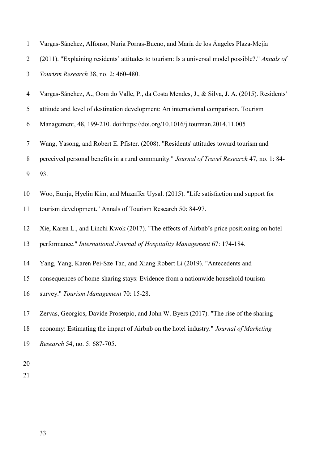| $\mathbf{1}$ | Vargas-Sánchez, Alfonso, Nuria Porras-Bueno, and María de los Ángeles Plaza-Mejía               |
|--------------|-------------------------------------------------------------------------------------------------|
| 2            | (2011). "Explaining residents' attitudes to tourism: Is a universal model possible?." Annals of |
| 3            | Tourism Research 38, no. 2: 460-480.                                                            |
| 4            | Vargas-Sánchez, A., Oom do Valle, P., da Costa Mendes, J., & Silva, J. A. (2015). Residents'    |
| 5            | attitude and level of destination development: An international comparison. Tourism             |
| 6            | Management, 48, 199-210. doi:https://doi.org/10.1016/j.tourman.2014.11.005                      |
| $\tau$       | Wang, Yasong, and Robert E. Pfister. (2008). "Residents' attitudes toward tourism and           |
| 8            | perceived personal benefits in a rural community." Journal of Travel Research 47, no. 1: 84-    |
| 9            | 93.                                                                                             |
| 10           | Woo, Eunju, Hyelin Kim, and Muzaffer Uysal. (2015). "Life satisfaction and support for          |
| 11           | tourism development." Annals of Tourism Research 50: 84-97.                                     |
| 12           | Xie, Karen L., and Linchi Kwok (2017). "The effects of Airbnb's price positioning on hotel      |
| 13           | performance." International Journal of Hospitality Management 67: 174-184.                      |
| 14           | Yang, Yang, Karen Pei-Sze Tan, and Xiang Robert Li (2019). "Antecedents and                     |
| 15           | consequences of home-sharing stays: Evidence from a nationwide household tourism                |
| 16           | survey." Tourism Management 70: 15-28.                                                          |
| 17           | Zervas, Georgios, Davide Proserpio, and John W. Byers (2017). "The rise of the sharing          |
| 18           | economy: Estimating the impact of Airbnb on the hotel industry." Journal of Marketing           |
| 19           | Research 54, no. 5: 687-705.                                                                    |
| 20           |                                                                                                 |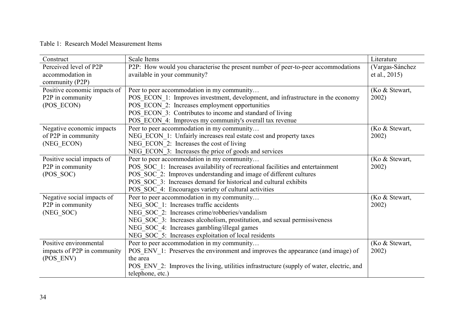# Table 1: Research Model Measurement Items

| Construct                    | <b>Scale Items</b>                                                                       | Literature      |
|------------------------------|------------------------------------------------------------------------------------------|-----------------|
| Perceived level of P2P       | P2P: How would you characterise the present number of peer-to-peer accommodations        | (Vargas-Sánchez |
| accommodation in             | available in your community?                                                             | et al., 2015)   |
| community (P2P)              |                                                                                          |                 |
| Positive economic impacts of | Peer to peer accommodation in my community                                               | (Ko & Stewart,  |
| P2P in community             | POS ECON 1: Improves investment, development, and infrastructure in the economy          | 2002)           |
| (POS ECON)                   | POS ECON 2: Increases employment opportunities                                           |                 |
|                              | POS ECON 3: Contributes to income and standard of living                                 |                 |
|                              | POS ECON 4: Improves my community's overall tax revenue                                  |                 |
| Negative economic impacts    | Peer to peer accommodation in my community                                               | (Ko & Stewart,  |
| of P2P in community          | NEG ECON 1: Unfairly increases real estate cost and property taxes                       | 2002)           |
| (NEG_ECON)                   | NEG ECON 2: Increases the cost of living                                                 |                 |
|                              | NEG ECON 3: Increases the price of goods and services                                    |                 |
| Positive social impacts of   | Peer to peer accommodation in my community                                               | (Ko & Stewart,  |
| P2P in community             | POS SOC 1: Increases availability of recreational facilities and entertainment           | 2002)           |
| (POS SOC)                    | POS SOC 2: Improves understanding and image of different cultures                        |                 |
|                              | POS SOC 3: Increases demand for historical and cultural exhibits                         |                 |
|                              | POS SOC 4: Encourages variety of cultural activities                                     |                 |
| Negative social impacts of   | Peer to peer accommodation in my community                                               | (Ko & Stewart,  |
| P2P in community             | NEG SOC 1: Increases traffic accidents                                                   | 2002)           |
| (NEG SOC)                    | NEG SOC 2: Increases crime/robberies/vandalism                                           |                 |
|                              | NEG SOC 3: Increases alcoholism, prostitution, and sexual permissiveness                 |                 |
|                              | NEG_SOC_4: Increases gambling/illegal games                                              |                 |
|                              | NEG SOC 5: Increases exploitation of local residents                                     |                 |
| Positive environmental       | Peer to peer accommodation in my community                                               | (Ko & Stewart,  |
| impacts of P2P in community  | POS ENV 1: Preserves the environment and improves the appearance (and image) of          | 2002)           |
| (POS ENV)                    | the area                                                                                 |                 |
|                              | POS ENV 2: Improves the living, utilities infrastructure (supply of water, electric, and |                 |
|                              | telephone, etc.)                                                                         |                 |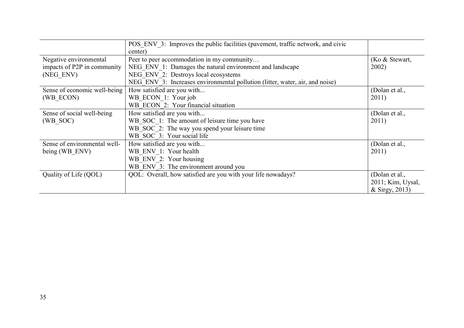|                              | POS ENV 3: Improves the public facilities (pavement, traffic network, and civic |                   |
|------------------------------|---------------------------------------------------------------------------------|-------------------|
|                              | center)                                                                         |                   |
| Negative environmental       | Peer to peer accommodation in my community                                      | (Ko & Stewart,    |
| impacts of P2P in community  | NEG ENV 1: Damages the natural environment and landscape                        | 2002)             |
| (NEG ENV)                    | NEG ENV 2: Destroys local ecosystems                                            |                   |
|                              | NEG ENV 3: Increases environmental pollution (litter, water, air, and noise)    |                   |
| Sense of economic well-being | How satisfied are you with                                                      | (Dolan et al.,    |
| (WB ECON)                    | WB ECON 1: Your job                                                             | 2011)             |
|                              | WB ECON 2: Your financial situation                                             |                   |
| Sense of social well-being   | How satisfied are you with                                                      | (Dolan et al.,    |
| (WB SOC)                     | WB SOC 1: The amount of leisure time you have                                   | 2011)             |
|                              | WB SOC 2: The way you spend your leisure time                                   |                   |
|                              | WB SOC 3: Your social life                                                      |                   |
| Sense of environmental well- | How satisfied are you with                                                      | (Dolan et al.,    |
| being (WB ENV)               | WB ENV 1: Your health                                                           | 2011)             |
|                              | WB ENV 2: Your housing                                                          |                   |
|                              | WB ENV 3: The environment around you                                            |                   |
| Quality of Life (QOL)        | QOL: Overall, how satisfied are you with your life nowadays?                    | (Dolan et al.,    |
|                              |                                                                                 | 2011; Kim, Uysal, |
|                              |                                                                                 | & Sirgy, 2013)    |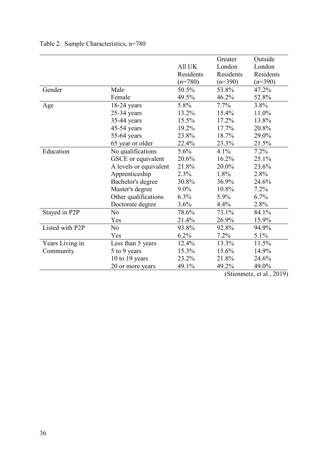|                 |                        |           | Greater   | Outside   |
|-----------------|------------------------|-----------|-----------|-----------|
|                 |                        | All UK    | London    | London    |
|                 |                        | Residents | Residents | Residents |
|                 |                        | $(n=780)$ | $(n=390)$ | $(n=390)$ |
| Gender          | Male                   | 50.5%     | 53.8%     | 47.2%     |
|                 | Female                 | 49.5%     | 46.2%     | 52.8%     |
| Age             | 18-24 years            | 5.8%      | $7.7\%$   | 3.8%      |
|                 | $25-34$ years          | 13.2%     | 15.4%     | 11.0%     |
|                 | 35-44 years            | 15.5%     | 17.2%     | 13.8%     |
|                 | 45-54 years            | 19.2%     | 17.7%     | 20.8%     |
|                 | 55-64 years            | 23.8%     | 18.7%     | 29.0%     |
|                 | 65 year or older       | 22.4%     | 23.3%     | 21.5%     |
| Education       | No qualifications      | 5.6%      | 4.1%      | 7.2%      |
|                 | GSCE or equivalent     | 20.6%     | 16.2%     | 25.1%     |
|                 | A levels or equivalent | 21.8%     | 20.0%     | 23.6%     |
|                 | Apprenticeship         | 2.3%      | 1.8%      | 2.8%      |
|                 | Bachelor's degree      | 30.8%     | 36.9%     | 24.6%     |
|                 | Master's degree        | $9.0\%$   | 10.8%     | 7.2%      |
|                 | Other qualifications   | 6.3%      | 5.9%      | 6.7%      |
|                 | Doctorate degree       | 3.6%      | 4.4%      | 2.8%      |
| Stayed in P2P   | No                     | 78.6%     | 73.1%     | 84.1%     |
|                 | Yes                    | 21.4%     | 26.9%     | 15.9%     |
| Listed with P2P | N <sub>o</sub>         | 93.8%     | 92.8%     | 94.9%     |
|                 | Yes                    | 6.2%      | 7.2%      | 5.1%      |
| Years Living in | Less than 5 years      | 12.4%     | 13.3%     | 11.5%     |
| Community       | 5 to 9 years           | 15.3%     | 15.6%     | 14.9%     |
|                 | 10 to 19 years         | 23.2%     | 21.8%     | 24.6%     |
|                 | 20 or more years       | 49.1%     | 49.2%     | 49.0%     |
|                 |                        |           |           |           |

# Table 2. Sample Characteristics, n=780

(Stienmetz, et al., 2019)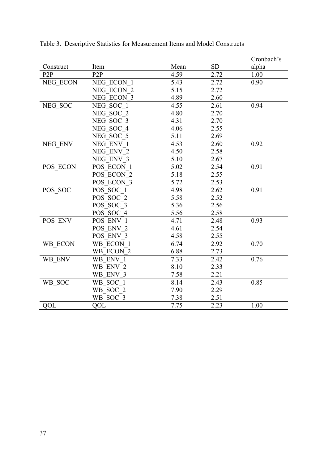|           |                  |      |           | Cronbach's |
|-----------|------------------|------|-----------|------------|
| Construct | Item             | Mean | <b>SD</b> | alpha      |
| P2P       | P <sub>2</sub> P | 4.59 | 2.72      | 1.00       |
| NEG ECON  | NEG ECON 1       | 5.43 | 2.72      | 0.90       |
|           | NEG ECON 2       | 5.15 | 2.72      |            |
|           | NEG ECON 3       | 4.89 | 2.60      |            |
| NEG_SOC   | NEG SOC 1        | 4.55 | 2.61      | 0.94       |
|           | NEG SOC 2        | 4.80 | 2.70      |            |
|           | NEG SOC 3        | 4.31 | 2.70      |            |
|           | NEG SOC 4        | 4.06 | 2.55      |            |
|           | NEG SOC 5        | 5.11 | 2.69      |            |
| NEG ENV   | NEG ENV 1        | 4.53 | 2.60      | 0.92       |
|           | NEG ENV 2        | 4.50 | 2.58      |            |
|           | NEG ENV 3        | 5.10 | 2.67      |            |
| POS ECON  | POS ECON 1       | 5.02 | 2.54      | 0.91       |
|           | POS ECON 2       | 5.18 | 2.55      |            |
|           | POS ECON 3       | 5.72 | 2.53      |            |
| POS_SOC   | POS SOC 1        | 4.98 | 2.62      | 0.91       |
|           | POS SOC 2        | 5.58 | 2.52      |            |
|           | POS SOC 3        | 5.36 | 2.56      |            |
|           | POS SOC 4        | 5.56 | 2.58      |            |
| POS ENV   | POS ENV 1        | 4.71 | 2.48      | 0.93       |
|           | POS ENV 2        | 4.61 | 2.54      |            |
|           | POS ENV 3        | 4.58 | 2.55      |            |
| WB_ECON   | WB ECON 1        | 6.74 | 2.92      | 0.70       |
|           | WB ECON 2        | 6.88 | 2.73      |            |
| WB_ENV    | WB ENV 1         | 7.33 | 2.42      | 0.76       |
|           | WB ENV 2         | 8.10 | 2.33      |            |
|           | WB ENV 3         | 7.58 | 2.21      |            |
| WB_SOC    | WB SOC 1         | 8.14 | 2.43      | 0.85       |
|           | WB SOC 2         | 7.90 | 2.29      |            |
|           | WB SOC 3         | 7.38 | 2.51      |            |
| QOL       | QOL              | 7.75 | 2.23      | 1.00       |

Table 3. Descriptive Statistics for Measurement Items and Model Constructs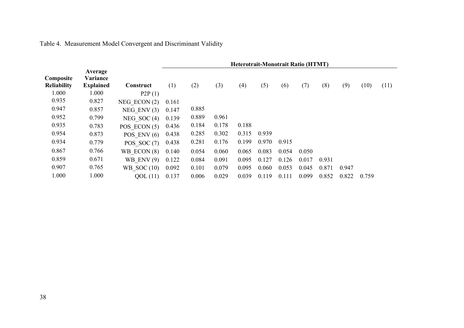# Table 4. Measurement Model Convergent and Discriminant Validity

|                                 |                                         |                | <b>Heterotrait-Monotrait Ratio (HTMT)</b> |       |       |       |       |       |       |       |       |       |      |
|---------------------------------|-----------------------------------------|----------------|-------------------------------------------|-------|-------|-------|-------|-------|-------|-------|-------|-------|------|
| Composite<br><b>Reliability</b> | Average<br>Variance<br><b>Explained</b> | Construct      | (1)                                       | (2)   | (3)   | (4)   | (5)   | (6)   | (7)   | (8)   | (9)   | (10)  | (11) |
| 1.000                           | 1.000                                   | P2P(1)         |                                           |       |       |       |       |       |       |       |       |       |      |
| 0.935                           | 0.827                                   | NEG ECON $(2)$ | 0.161                                     |       |       |       |       |       |       |       |       |       |      |
| 0.947                           | 0.857                                   | NEG ENV $(3)$  | 0.147                                     | 0.885 |       |       |       |       |       |       |       |       |      |
| 0.952                           | 0.799                                   | NEG SOC $(4)$  | 0.139                                     | 0.889 | 0.961 |       |       |       |       |       |       |       |      |
| 0.935                           | 0.783                                   | POS $ECON(5)$  | 0.436                                     | 0.184 | 0.178 | 0.188 |       |       |       |       |       |       |      |
| 0.954                           | 0.873                                   | POS ENV $(6)$  | 0.438                                     | 0.285 | 0.302 | 0.315 | 0.939 |       |       |       |       |       |      |
| 0.934                           | 0.779                                   | POS SOC $(7)$  | 0.438                                     | 0.281 | 0.176 | 0.199 | 0.970 | 0.915 |       |       |       |       |      |
| 0.867                           | 0.766                                   | WB ECON $(8)$  | 0.140                                     | 0.054 | 0.060 | 0.065 | 0.083 | 0.054 | 0.050 |       |       |       |      |
| 0.859                           | 0.671                                   | WB ENV $(9)$   | 0.122                                     | 0.084 | 0.091 | 0.095 | 0.127 | 0.126 | 0.017 | 0.931 |       |       |      |
| 0.907                           | 0.765                                   | WB SOC $(10)$  | 0.092                                     | 0.101 | 0.079 | 0.095 | 0.060 | 0.053 | 0.045 | 0.871 | 0.947 |       |      |
| 1.000                           | 1.000                                   | QOL(11)        | 0.137                                     | 0.006 | 0.029 | 0.039 | 0.119 | 0.111 | 0.099 | 0.852 | 0.822 | 0.759 |      |